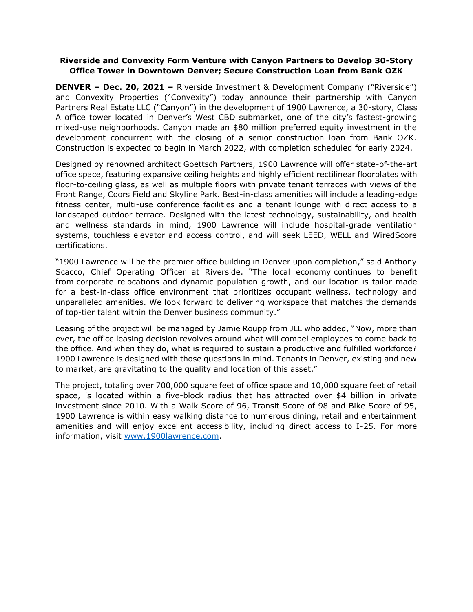# **Riverside and Convexity Form Venture with Canyon Partners to Develop 30-Story Office Tower in Downtown Denver; Secure Construction Loan from Bank OZK**

**DENVER – Dec. 20, 2021 –** Riverside Investment & Development Company ("Riverside") and Convexity Properties ("Convexity") today announce their partnership with Canyon Partners Real Estate LLC ("Canyon") in the development of 1900 Lawrence, a 30-story, Class A office tower located in Denver's West CBD submarket, one of the city's fastest-growing mixed-use neighborhoods. Canyon made an \$80 million preferred equity investment in the development concurrent with the closing of a senior construction loan from Bank OZK. Construction is expected to begin in March 2022, with completion scheduled for early 2024.

Designed by renowned architect Goettsch Partners, 1900 Lawrence will offer state-of-the-art office space, featuring expansive ceiling heights and highly efficient rectilinear floorplates with floor-to-ceiling glass, as well as multiple floors with private tenant terraces with views of the Front Range, Coors Field and Skyline Park. Best-in-class amenities will include a leading-edge fitness center, multi-use conference facilities and a tenant lounge with direct access to a landscaped outdoor terrace. Designed with the latest technology, sustainability, and health and wellness standards in mind, 1900 Lawrence will include hospital-grade ventilation systems, touchless elevator and access control, and will seek LEED, WELL and WiredScore certifications.

"1900 Lawrence will be the premier office building in Denver upon completion," said Anthony Scacco, Chief Operating Officer at Riverside. "The local economy continues to benefit from corporate relocations and dynamic population growth, and our location is tailor-made for a best-in-class office environment that prioritizes occupant wellness, technology and unparalleled amenities. We look forward to delivering workspace that matches the demands of top-tier talent within the Denver business community."

Leasing of the project will be managed by Jamie Roupp from JLL who added, "Now, more than ever, the office leasing decision revolves around what will compel employees to come back to the office. And when they do, what is required to sustain a productive and fulfilled workforce? 1900 Lawrence is designed with those questions in mind. Tenants in Denver, existing and new to market, are gravitating to the quality and location of this asset."

The project, totaling over 700,000 square feet of office space and 10,000 square feet of retail space, is located within a five-block radius that has attracted over \$4 billion in private investment since 2010. With a Walk Score of 96, Transit Score of 98 and Bike Score of 95, 1900 Lawrence is within easy walking distance to numerous dining, retail and entertainment amenities and will enjoy excellent accessibility, including direct access to I-25. For more information, visit [www.1900lawrence.com.](http://www.1900lawrence.com/)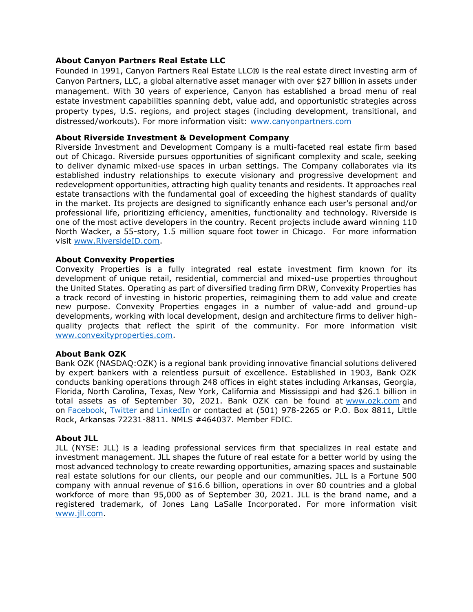## **About Canyon Partners Real Estate LLC**

Founded in 1991, Canyon Partners Real Estate LLC® is the real estate direct investing arm of Canyon Partners, LLC, a global alternative asset manager with over \$27 billion in assets under management. With 30 years of experience, Canyon has established a broad menu of real estate investment capabilities spanning debt, value add, and opportunistic strategies across property types, U.S. regions, and project stages (including development, transitional, and distressed/workouts). For more information visit: [www.canyonpartners.com](https://protect-us.mimecast.com/s/5_roCrkvwksrgq86izTfM_)

## **About Riverside Investment & Development Company**

Riverside Investment and Development Company is a multi-faceted real estate firm based out of Chicago. Riverside pursues opportunities of significant complexity and scale, seeking to deliver dynamic mixed-use spaces in urban settings. The Company collaborates via its established industry relationships to execute visionary and progressive development and redevelopment opportunities, attracting high quality tenants and residents. It approaches real estate transactions with the fundamental goal of exceeding the highest standards of quality in the market. Its projects are designed to significantly enhance each user's personal and/or professional life, prioritizing efficiency, amenities, functionality and technology. Riverside is one of the most active developers in the country. Recent projects include award winning 110 North Wacker, a 55-story, 1.5 million square foot tower in Chicago. For more information visit [www.RiversideID.com.](http://www.riversideid.com/)

# **About Convexity Properties**

Convexity Properties is a fully integrated real estate investment firm known for its development of unique retail, residential, commercial and mixed-use properties throughout the United States. Operating as part of diversified trading firm DRW, Convexity Properties has a track record of investing in historic properties, reimagining them to add value and create new purpose. Convexity Properties engages in a number of value-add and ground-up developments, working with local development, design and architecture firms to deliver highquality projects that reflect the spirit of the community. For more information visit [www.convexityproperties.com.](http://www.convexityproperties.com/)

### **About Bank OZK**

Bank OZK (NASDAQ:OZK) is a regional bank providing innovative financial solutions delivered by expert bankers with a relentless pursuit of excellence. Established in 1903, Bank OZK conducts banking operations through 248 offices in eight states including Arkansas, Georgia, Florida, North Carolina, Texas, New York, California and Mississippi and had \$26.1 billion in total assets as of September 30, 2021. Bank OZK can be found at [www.ozk.com](https://www.ozk.com/personal/) and on [Facebook,](https://www.facebook.com/bankozk/) [Twitter](https://twitter.com/BankOZK?lang=en) and [LinkedIn](https://www.linkedin.com/company/bank-ozk/) or contacted at (501) 978-2265 or P.O. Box 8811, Little Rock, Arkansas 72231-8811. NMLS #464037. Member FDIC.

### **About JLL**

JLL (NYSE: JLL) is a leading professional services firm that specializes in real estate and investment management. JLL shapes the future of real estate for a better world by using the most advanced technology to create rewarding opportunities, amazing spaces and sustainable real estate solutions for our clients, our people and our communities. JLL is a Fortune 500 company with annual revenue of \$16.6 billion, operations in over 80 countries and a global workforce of more than 95,000 as of September 30, 2021. JLL is the brand name, and a registered trademark, of Jones Lang LaSalle Incorporated. For more information visit [www.jll.com.](http://www.jll.com/)